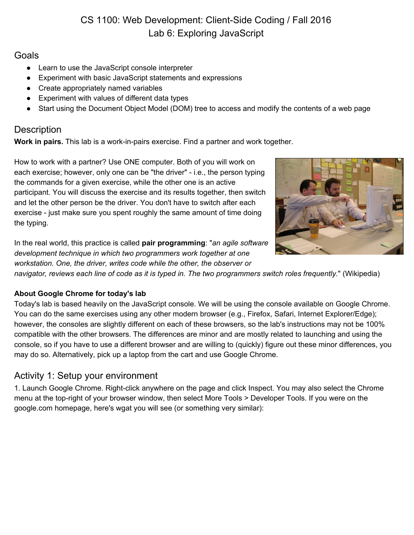# CS 1100: Web Development: Client-Side Coding / Fall 2016 Lab 6: Exploring JavaScript

### **Goals**

- Learn to use the JavaScript console interpreter
- Experiment with basic JavaScript statements and expressions
- Create appropriately named variables
- Experiment with values of different data types
- Start using the Document Object Model (DOM) tree to access and modify the contents of a web page

# **Description**

**Work in pairs.** This lab is a work-in-pairs exercise. Find a partner and work together.

How to work with a partner? Use ONE computer. Both of you will work on each exercise; however, only one can be "the driver" - i.e., the person typing the commands for a given exercise, while the other one is an active participant. You will discuss the exercise and its results together, then switch and let the other person be the driver. You don't have to switch after each exercise - just make sure you spent roughly the same amount of time doing the typing.

In the real world, this practice is called **pair programming**: "*an agile software development technique in which two programmers work together at one workstation. One, the driver, writes code while the other, the observer or*



*navigator, reviews each line of code as it is typed in. The two programmers switch roles frequently.*" (Wikipedia)

### **About Google Chrome for today's lab**

Today's lab is based heavily on the JavaScript console. We will be using the console available on Google Chrome. You can do the same exercises using any other modern browser (e.g., Firefox, Safari, Internet Explorer/Edge); however, the consoles are slightly different on each of these browsers, so the lab's instructions may not be 100% compatible with the other browsers. The differences are minor and are mostly related to launching and using the console, so if you have to use a different browser and are willing to (quickly) figure out these minor differences, you may do so. Alternatively, pick up a laptop from the cart and use Google Chrome.

# Activity 1: Setup your environment

1. Launch Google Chrome. Right-click anywhere on the page and click Inspect. You may also select the Chrome menu at the top-right of your browser window, then select More Tools > Developer Tools. If you were on the google.com homepage, here's wgat you will see (or something very similar):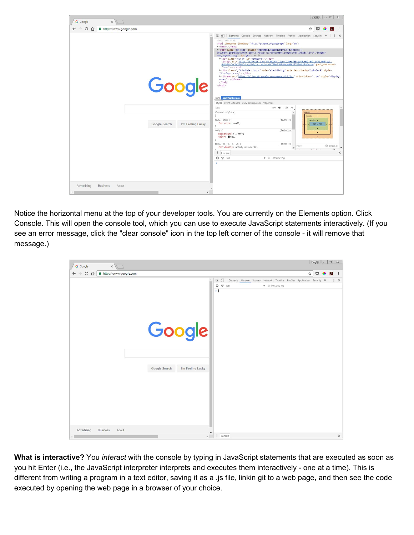| $\times$<br>G Google                                            |                                    | $\Box$<br>$\mathbb{Z}$<br>Sargay                                                                                                                                                                                                                                                                                                                                                                                                                                                                                                                                                                                                                                                                                                                                                                                                                                                                                                                                                       |
|-----------------------------------------------------------------|------------------------------------|----------------------------------------------------------------------------------------------------------------------------------------------------------------------------------------------------------------------------------------------------------------------------------------------------------------------------------------------------------------------------------------------------------------------------------------------------------------------------------------------------------------------------------------------------------------------------------------------------------------------------------------------------------------------------------------------------------------------------------------------------------------------------------------------------------------------------------------------------------------------------------------------------------------------------------------------------------------------------------------|
| $\leftarrow$ $\rightarrow$ C $\Omega$<br>https://www.google.com |                                    | ☆<br>◛<br>天                                                                                                                                                                                                                                                                                                                                                                                                                                                                                                                                                                                                                                                                                                                                                                                                                                                                                                                                                                            |
|                                                                 | Google                             | 保 印<br>Elements Console Sources Network Timeline Profiles Application Security >>><br>$\times$<br>html<br><html itemscope="" itemtype="http://schema.org/WebPage" lang="en"><br/>&gt; <head></head><br/>"<body class="hp yasq" id="gsr" onload="document.f&amp;&amp;document.f.g.focus();&lt;br&gt;document.gbqf&amp;&amp;document.gbqf.q.focus();if(document.images)new Image().src='/images/&lt;br&gt;nav_logo242.png'"> == \$0<br/>*<div class="ctr-p" id="viewport">_</div><br/><script gapi="" processed="&lt;br" src="/xis/ /is/k=xis.s.en US.mCuKA-72gso.O/m=sy39.sy49.em2.em1.sy51.em0.sy3.&lt;br&gt;4v8hINxCsCAxYGAU/rt=1/d=0/t=zcms/rs=ACT90oFiHIrWw1wB4KJF7PPw8hLkNOeshw">"true"></script><br/>*<div aria-describedby="bubble-5" class="jfk-bubble chw-oc" role="alertdialog" style="&lt;br">"display: none;"&gt;</div><br/>*<iframe aria-hidden="true" src="https://clients5.google.com/pagead/drt/dn/" style="display:&lt;br&gt;none;">_</iframe><br/></body><br/></html> |
|                                                                 | Google Search<br>I'm Feeling Lucky | html body#gsr.hp.vasq<br>Styles Event Listeners DOM Breakpoints Properties<br>:hov $\clubsuit$ .cls +<br>Filter<br>element.style {<br>margin<br>border<br>۰.<br>body, html {<br>(index):8<br>padding -<br>font-size: small;<br>629 × 709                                                                                                                                                                                                                                                                                                                                                                                                                                                                                                                                                                                                                                                                                                                                               |
|                                                                 |                                    | (index):8<br>body $\{$<br>٠<br>background: > = #fff;<br>color: <b>E</b> #222;<br>body, td, a, p, .h {<br>(intcheck):8<br>Show all<br>Filter<br>font-family: arial, sans-serif;<br>$\rightarrow$                                                                                                                                                                                                                                                                                                                                                                                                                                                                                                                                                                                                                                                                                                                                                                                        |
|                                                                 |                                    | $\times$<br>÷<br>Console<br>$Q \nabla$ top<br>$\Psi$ $\Box$ Preserve log                                                                                                                                                                                                                                                                                                                                                                                                                                                                                                                                                                                                                                                                                                                                                                                                                                                                                                               |
| Advertising<br><b>Business</b><br>About                         |                                    |                                                                                                                                                                                                                                                                                                                                                                                                                                                                                                                                                                                                                                                                                                                                                                                                                                                                                                                                                                                        |

Notice the horizontal menu at the top of your developer tools. You are currently on the Elements option. Click Console. This will open the console tool, which you can use to execute JavaScript statements interactively. (If you see an error message, click the "clear console" icon in the top left corner of the console - it will remove that message.)

| $\leftarrow$ $\rightarrow$ C $\Omega$<br>$\stackrel{\star}{\bowtie}$<br>A https://www.google.com<br>$\circ$<br>未<br>$\overline{\mathbf{R}}$<br>$\Box$<br>Ź<br>Elements Console Sources Network Timeline Profiles Application Security >>><br>$\vdots$ x<br>$Q \nabla$ top<br><b>v III</b> Preserve log<br>$\rightarrow$<br>Google<br>Google Search<br>I'm Feeling Lucky | $x \sqrt{ }$<br>G Google |  |  |  | $\text{Sangy} \mid - 0  \times$ |  |                       |
|-------------------------------------------------------------------------------------------------------------------------------------------------------------------------------------------------------------------------------------------------------------------------------------------------------------------------------------------------------------------------|--------------------------|--|--|--|---------------------------------|--|-----------------------|
|                                                                                                                                                                                                                                                                                                                                                                         |                          |  |  |  |                                 |  | $\ddot{\ddot{\cdot}}$ |
|                                                                                                                                                                                                                                                                                                                                                                         |                          |  |  |  |                                 |  |                       |
|                                                                                                                                                                                                                                                                                                                                                                         |                          |  |  |  |                                 |  |                       |
|                                                                                                                                                                                                                                                                                                                                                                         |                          |  |  |  |                                 |  |                       |
|                                                                                                                                                                                                                                                                                                                                                                         |                          |  |  |  |                                 |  |                       |
|                                                                                                                                                                                                                                                                                                                                                                         |                          |  |  |  |                                 |  |                       |
|                                                                                                                                                                                                                                                                                                                                                                         |                          |  |  |  |                                 |  |                       |
|                                                                                                                                                                                                                                                                                                                                                                         |                          |  |  |  |                                 |  |                       |
|                                                                                                                                                                                                                                                                                                                                                                         |                          |  |  |  |                                 |  |                       |
|                                                                                                                                                                                                                                                                                                                                                                         |                          |  |  |  |                                 |  |                       |
|                                                                                                                                                                                                                                                                                                                                                                         |                          |  |  |  |                                 |  |                       |
|                                                                                                                                                                                                                                                                                                                                                                         |                          |  |  |  |                                 |  |                       |
|                                                                                                                                                                                                                                                                                                                                                                         |                          |  |  |  |                                 |  |                       |
|                                                                                                                                                                                                                                                                                                                                                                         |                          |  |  |  |                                 |  |                       |
|                                                                                                                                                                                                                                                                                                                                                                         |                          |  |  |  |                                 |  |                       |
|                                                                                                                                                                                                                                                                                                                                                                         |                          |  |  |  |                                 |  |                       |
|                                                                                                                                                                                                                                                                                                                                                                         |                          |  |  |  |                                 |  |                       |
|                                                                                                                                                                                                                                                                                                                                                                         |                          |  |  |  |                                 |  |                       |
|                                                                                                                                                                                                                                                                                                                                                                         |                          |  |  |  |                                 |  |                       |
| Advertising<br><b>Business</b><br>About<br>$\mathbf{F}$<br>: Console                                                                                                                                                                                                                                                                                                    |                          |  |  |  |                                 |  | $\times$              |

**What is interactive?** You *interact* with the console by typing in JavaScript statements that are executed as soon as you hit Enter (i.e., the JavaScript interpreter interprets and executes them interactively - one at a time). This is different from writing a program in a text editor, saving it as a .js file, linkin git to a web page, and then see the code executed by opening the web page in a browser of your choice.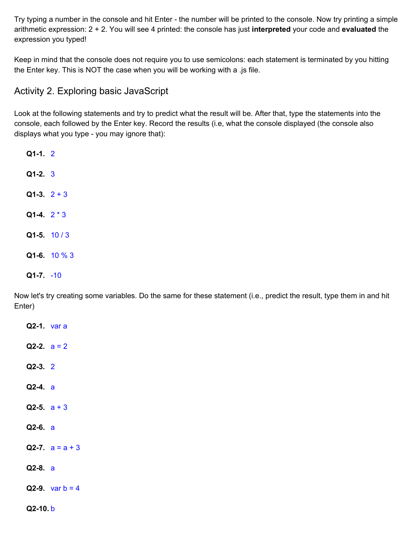Try typing a number in the console and hit Enter - the number will be printed to the console. Now try printing a simple arithmetic expression: 2 + 2. You will see 4 printed: the console has just **interpreted** your code and **evaluated** the expression you typed!

Keep in mind that the console does not require you to use semicolons: each statement is terminated by you hitting the Enter key. This is NOT the case when you will be working with a .js file.

## Activity 2. Exploring basic JavaScript

Look at the following statements and try to predict what the result will be. After that, type the statements into the console, each followed by the Enter key. Record the results (i.e, what the console displayed (the console also displays what you type - you may ignore that):

**Q1-1.** 2 **Q1-2.** 3 **Q1-3.** 2 + 3 **Q1-4.** 2 \* 3 **Q1-5.** 10 / 3 **Q1-6.** 10 % 3 **Q1-7.** -10

Now let's try creating some variables. Do the same for these statement (i.e., predict the result, type them in and hit Enter)

**Q2-1.** var a **Q2-2.**  $a = 2$ **Q2-3.** 2 **Q2-4.** a **Q2-5.** a + 3 **Q2-6.** a **Q2-7.**  $a = a + 3$ **Q2-8.** a **Q2-9.** var  $b = 4$ **Q2-10.** b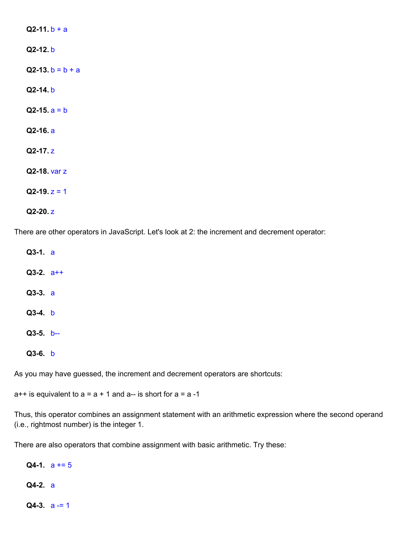| $Q2-11 b + a$      |
|--------------------|
| $Q2-12. b$         |
| $Q2-13. b = b + a$ |
| $Q2-14. b$         |
| $Q2-15$ , $a = b$  |
| $Q2-16. a$         |
| $Q2-17. z$         |
| Q2-18 var z        |
| $Q2-19. z = 1$     |
|                    |

**Q2-20.** z

There are other operators in JavaScript. Let's look at 2: the increment and decrement operator:

**Q3-1.** a **Q3-2.** a++ **Q3-3.** a **Q3-4.** b **Q3-5.** b-- **Q3-6.** b

As you may have guessed, the increment and decrement operators are shortcuts:

 $a++$  is equivalent to  $a = a + 1$  and  $a--$  is short for  $a = a -1$ 

Thus, this operator combines an assignment statement with an arithmetic expression where the second operand (i.e., rightmost number) is the integer 1.

There are also operators that combine assignment with basic arithmetic. Try these:

**Q4-1.**  $a += 5$ **Q4-2.** a

**Q4-3.** a -= 1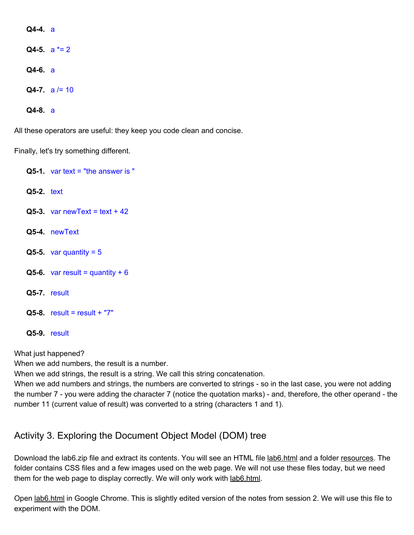**Q4-4.** a **Q4-5.** a \*= 2 **Q4-6.** a **Q4-7.**  $a = 10$ 

**Q4-8.** a

All these operators are useful: they keep you code clean and concise.

Finally, let's try something different.

**Q5-1.** var text = "the answer is " **Q5-2.** text  $Q5-3.$  var new Text = text + 42 **Q5-4.** newText  $Q5-5.$  var quantity =  $5$  $Q5-6$ . var result = quantity + 6 **Q5-7.** result **Q5-8.** result = result + "7" **Q5-9.** result

What just happened?

When we add numbers, the result is a number.

When we add strings, the result is a string. We call this string concatenation.

When we add numbers and strings, the numbers are converted to strings - so in the last case, you were not adding the number 7 - you were adding the character 7 (notice the quotation marks) - and, therefore, the other operand - the number 11 (current value of result) was converted to a string (characters 1 and 1).

## Activity 3. Exploring the Document Object Model (DOM) tree

Download the lab6.zip file and extract its contents. You will see an HTML file lab6.html and a folder resources. The folder contains CSS files and a few images used on the web page. We will not use these files today, but we need them for the web page to display correctly. We will only work with lab6.html.

Open lab6.html in Google Chrome. This is slightly edited version of the notes from session 2. We will use this file to experiment with the DOM.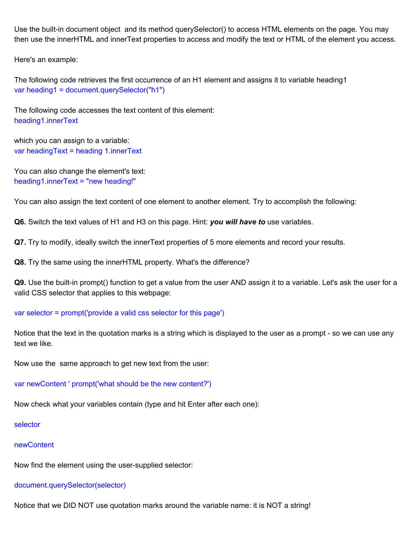Use the built-in document object and its method querySelector() to access HTML elements on the page. You may then use the innerHTML and innerText properties to access and modify the text or HTML of the element you access.

Here's an example:

The following code retrieves the first occurrence of an H1 element and assigns it to variable heading1 var heading1 = document.querySelector("h1")

The following code accesses the text content of this element: heading1.innerText

which you can assign to a variable: var headingText = heading 1.innerText

You can also change the element's text: heading1.innerText = "new heading!"

You can also assign the text content of one element to another element. Try to accomplish the following:

**Q6.** Switch the text values of H1 and H3 on this page. Hint: *you will have to* use variables.

**Q7.** Try to modify, ideally switch the innerText properties of 5 more elements and record your results.

**Q8.** Try the same using the innerHTML property. What's the difference?

**Q9.** Use the built-in prompt() function to get a value from the user AND assign it to a variable. Let's ask the user for a valid CSS selector that applies to this webpage:

#### var selector = prompt('provide a valid css selector for this page')

Notice that the text in the quotation marks is a string which is displayed to the user as a prompt - so we can use any text we like.

Now use the same approach to get new text from the user:

var newContent ' prompt('what should be the new content?')

Now check what your variables contain (type and hit Enter after each one):

selector

#### newContent

Now find the element using the user-supplied selector:

#### document.querySelector(selector)

Notice that we DID NOT use quotation marks around the variable name: it is NOT a string!